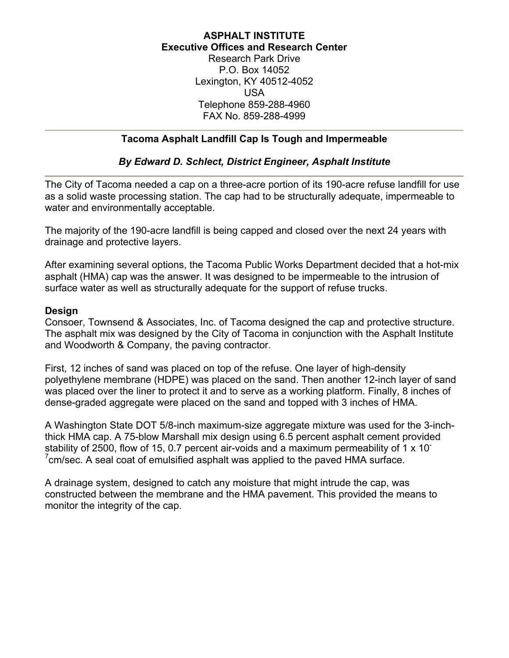#### **ASPHALT INSTITUTE Executive Offices and Research Center** Research Park Drive

P.O. Box 14052 Lexington, KY 40512-4052 USA Telephone 859-288-4960 FAX No. 859-288-4999

### **Tacoma Asphalt Landfill Cap Is Tough and Impermeable**

## *By Edward D. Schlect, District Engineer, Asphalt Institute*

The City of Tacoma needed a cap on a three-acre portion of its 190-acre refuse landfill for use as a solid waste processing station. The cap had to be structurally adequate, impermeable to water and environmentally acceptable.

The majority of the 190-acre landfill is being capped and closed over the next 24 years with drainage and protective layers.

After examining several options, the Tacoma Public Works Department decided that a hot-mix asphalt (HMA) cap was the answer. It was designed to be impermeable to the intrusion of surface water as well as structurally adequate for the support of refuse trucks.

#### **Design**

Consoer, Townsend & Associates, Inc. of Tacoma designed the cap and protective structure. The asphalt mix was designed by the City of Tacoma in conjunction with the Asphalt Institute and Woodworth & Company, the paving contractor.

First, 12 inches of sand was placed on top of the refuse. One layer of high-density polyethylene membrane (HDPE) was placed on the sand. Then another 12-inch layer of sand was placed over the liner to protect it and to serve as a working platform. Finally, 8 inches of dense-graded aggregate were placed on the sand and topped with 3 inches of HMA.

A Washington State DOT 5/8-inch maximum-size aggregate mixture was used for the 3-inchthick HMA cap. A 75-blow Marshall mix design using 6.5 percent asphalt cement provided stability of 2500, flow of 15, 0.7 percent air-voids and a maximum permeability of 1 x 10<sup>-</sup>  $7$ cm/sec. A seal coat of emulsified asphalt was applied to the paved HMA surface.

A drainage system, designed to catch any moisture that might intrude the cap, was constructed between the membrane and the HMA pavement. This provided the means to monitor the integrity of the cap.